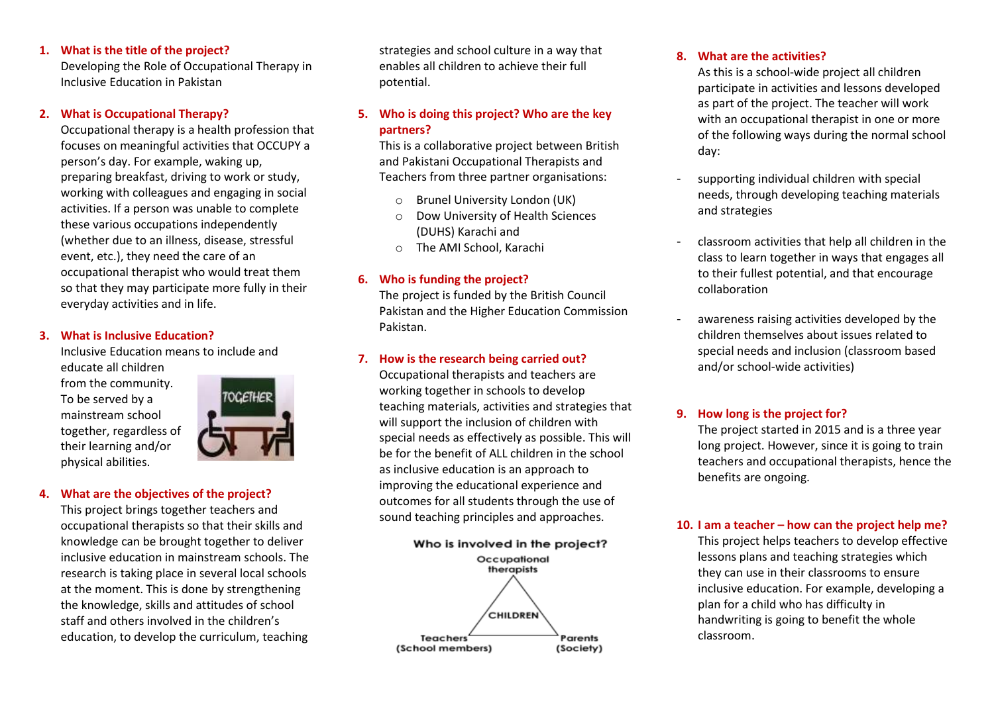### **1. What is the title of the project?**

Developing the Role of Occupational Therapy in Inclusive Education in Pakistan

#### **2. What is Occupational Therapy?**

Occupational therapy is a health profession that focuses on meaningful activities that OCCUPY a person's day. For example, waking up, preparing breakfast, driving to work or study, working with colleagues and engaging in social activities. If a person was unable to complete these various occupations independently (whether due to an illness, disease, stressful event, etc.), they need the care of an occupational therapist who would treat them so that they may participate more fully in their everyday activities and in life.

#### **3. What is Inclusive Education?**

Inclusive Education means to include and educate all children from the community. To be served by a mainstream school together, regardless of their learning and/or physical abilities.



## **4. What are the objectives of the project?**

This project brings together teachers and occupational therapists so that their skills and knowledge can be brought together to deliver inclusive education in mainstream schools. The research is taking place in several local schools at the moment. This is done by strengthening the knowledge, skills and attitudes of school staff and others involved in the children's education, to develop the curriculum, teaching

strategies and school culture in a way that enables all children to achieve their full potential.

# **5. Who is doing this project? Who are the key partners?**

This is a collaborative project between British and Pakistani Occupational Therapists and Teachers from three partner organisations:

- Brunel University London (UK)
- o Dow University of Health Sciences (DUHS) Karachi and
- o The AMI School, Karachi

### **6. Who is funding the project?**

The project is funded by the British Council Pakistan and the Higher Education Commission Pakistan.

## **7. How is the research being carried out?**

Occupational therapists and teachers are working together in schools to develop teaching materials, activities and strategies that will support the inclusion of children with special needs as effectively as possible. This will be for the benefit of ALL children in the school as inclusive education is an approach to improving the educational experience and outcomes for all students through the use of sound teaching principles and approaches.



#### **8. What are the activities?**

As this is a school-wide project all children participate in activities and lessons developed as part of the project. The teacher will work with an occupational therapist in one or more of the following ways during the normal school day:

- supporting individual children with special needs, through developing teaching materials and strategies
- classroom activities that help all children in the class to learn together in ways that engages all to their fullest potential, and that encourage collaboration
- awareness raising activities developed by the children themselves about issues related to special needs and inclusion (classroom based and/or school-wide activities)

#### **9. How long is the project for?**

The project started in 2015 and is a three year long project. However, since it is going to train teachers and occupational therapists, hence the benefits are ongoing.

#### **10. I am a teacher – how can the project help me?**

This project helps teachers to develop effective lessons plans and teaching strategies which they can use in their classrooms to ensure inclusive education. For example, developing a plan for a child who has difficulty in handwriting is going to benefit the whole classroom.